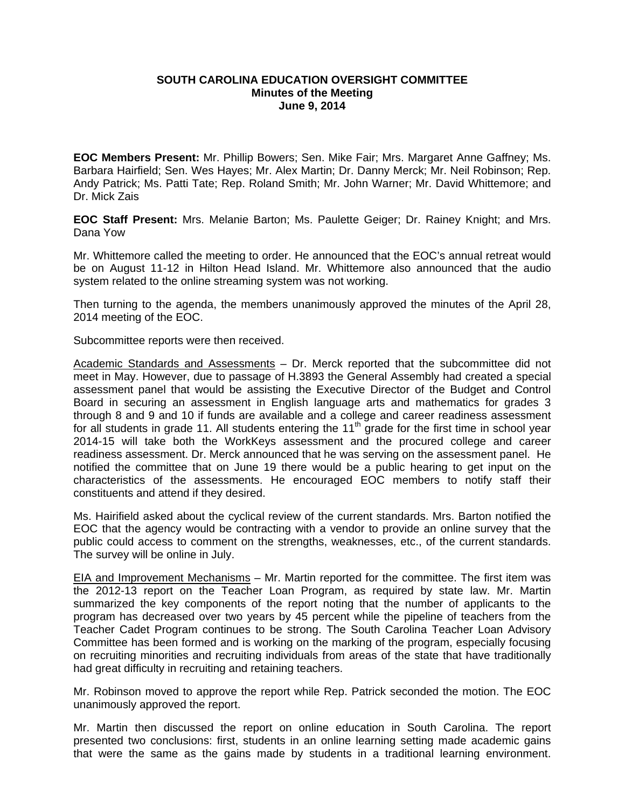## **SOUTH CAROLINA EDUCATION OVERSIGHT COMMITTEE Minutes of the Meeting June 9, 2014**

**EOC Members Present:** Mr. Phillip Bowers; Sen. Mike Fair; Mrs. Margaret Anne Gaffney; Ms. Barbara Hairfield; Sen. Wes Hayes; Mr. Alex Martin; Dr. Danny Merck; Mr. Neil Robinson; Rep. Andy Patrick; Ms. Patti Tate; Rep. Roland Smith; Mr. John Warner; Mr. David Whittemore; and Dr. Mick Zais

**EOC Staff Present:** Mrs. Melanie Barton; Ms. Paulette Geiger; Dr. Rainey Knight; and Mrs. Dana Yow

Mr. Whittemore called the meeting to order. He announced that the EOC's annual retreat would be on August 11-12 in Hilton Head Island. Mr. Whittemore also announced that the audio system related to the online streaming system was not working.

Then turning to the agenda, the members unanimously approved the minutes of the April 28, 2014 meeting of the EOC.

Subcommittee reports were then received.

Academic Standards and Assessments – Dr. Merck reported that the subcommittee did not meet in May. However, due to passage of H.3893 the General Assembly had created a special assessment panel that would be assisting the Executive Director of the Budget and Control Board in securing an assessment in English language arts and mathematics for grades 3 through 8 and 9 and 10 if funds are available and a college and career readiness assessment for all students in grade 11. All students entering the  $11<sup>th</sup>$  grade for the first time in school year 2014-15 will take both the WorkKeys assessment and the procured college and career readiness assessment. Dr. Merck announced that he was serving on the assessment panel. He notified the committee that on June 19 there would be a public hearing to get input on the characteristics of the assessments. He encouraged EOC members to notify staff their constituents and attend if they desired.

Ms. Hairifield asked about the cyclical review of the current standards. Mrs. Barton notified the EOC that the agency would be contracting with a vendor to provide an online survey that the public could access to comment on the strengths, weaknesses, etc., of the current standards. The survey will be online in July.

EIA and Improvement Mechanisms – Mr. Martin reported for the committee. The first item was the 2012-13 report on the Teacher Loan Program, as required by state law. Mr. Martin summarized the key components of the report noting that the number of applicants to the program has decreased over two years by 45 percent while the pipeline of teachers from the Teacher Cadet Program continues to be strong. The South Carolina Teacher Loan Advisory Committee has been formed and is working on the marking of the program, especially focusing on recruiting minorities and recruiting individuals from areas of the state that have traditionally had great difficulty in recruiting and retaining teachers.

Mr. Robinson moved to approve the report while Rep. Patrick seconded the motion. The EOC unanimously approved the report.

Mr. Martin then discussed the report on online education in South Carolina. The report presented two conclusions: first, students in an online learning setting made academic gains that were the same as the gains made by students in a traditional learning environment.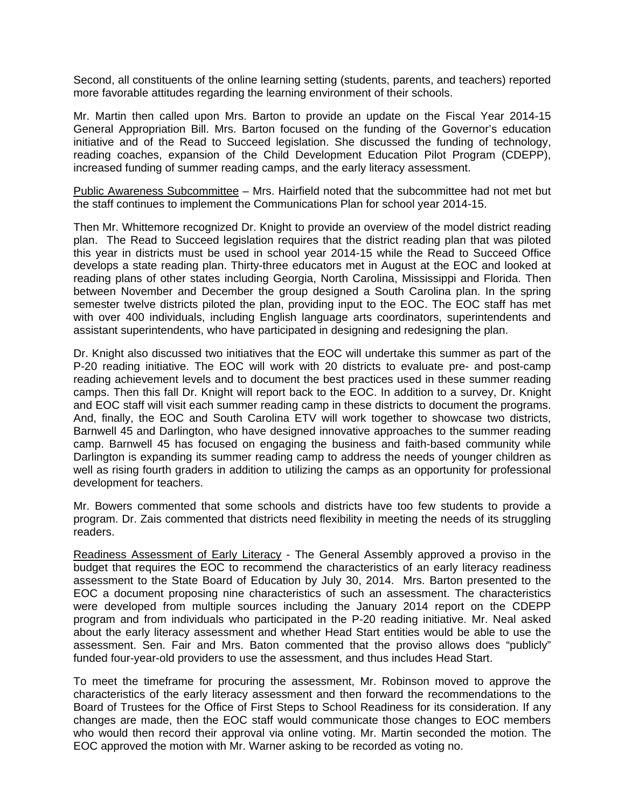Second, all constituents of the online learning setting (students, parents, and teachers) reported more favorable attitudes regarding the learning environment of their schools.

Mr. Martin then called upon Mrs. Barton to provide an update on the Fiscal Year 2014-15 General Appropriation Bill. Mrs. Barton focused on the funding of the Governor's education initiative and of the Read to Succeed legislation. She discussed the funding of technology, reading coaches, expansion of the Child Development Education Pilot Program (CDEPP), increased funding of summer reading camps, and the early literacy assessment.

Public Awareness Subcommittee – Mrs. Hairfield noted that the subcommittee had not met but the staff continues to implement the Communications Plan for school year 2014-15.

Then Mr. Whittemore recognized Dr. Knight to provide an overview of the model district reading plan. The Read to Succeed legislation requires that the district reading plan that was piloted this year in districts must be used in school year 2014-15 while the Read to Succeed Office develops a state reading plan. Thirty-three educators met in August at the EOC and looked at reading plans of other states including Georgia, North Carolina, Mississippi and Florida. Then between November and December the group designed a South Carolina plan. In the spring semester twelve districts piloted the plan, providing input to the EOC. The EOC staff has met with over 400 individuals, including English language arts coordinators, superintendents and assistant superintendents, who have participated in designing and redesigning the plan.

Dr. Knight also discussed two initiatives that the EOC will undertake this summer as part of the P-20 reading initiative. The EOC will work with 20 districts to evaluate pre- and post-camp reading achievement levels and to document the best practices used in these summer reading camps. Then this fall Dr. Knight will report back to the EOC. In addition to a survey, Dr. Knight and EOC staff will visit each summer reading camp in these districts to document the programs. And, finally, the EOC and South Carolina ETV will work together to showcase two districts, Barnwell 45 and Darlington, who have designed innovative approaches to the summer reading camp. Barnwell 45 has focused on engaging the business and faith-based community while Darlington is expanding its summer reading camp to address the needs of younger children as well as rising fourth graders in addition to utilizing the camps as an opportunity for professional development for teachers.

Mr. Bowers commented that some schools and districts have too few students to provide a program. Dr. Zais commented that districts need flexibility in meeting the needs of its struggling readers.

Readiness Assessment of Early Literacy - The General Assembly approved a proviso in the budget that requires the EOC to recommend the characteristics of an early literacy readiness assessment to the State Board of Education by July 30, 2014. Mrs. Barton presented to the EOC a document proposing nine characteristics of such an assessment. The characteristics were developed from multiple sources including the January 2014 report on the CDEPP program and from individuals who participated in the P-20 reading initiative. Mr. Neal asked about the early literacy assessment and whether Head Start entities would be able to use the assessment. Sen. Fair and Mrs. Baton commented that the proviso allows does "publicly" funded four-year-old providers to use the assessment, and thus includes Head Start.

To meet the timeframe for procuring the assessment, Mr. Robinson moved to approve the characteristics of the early literacy assessment and then forward the recommendations to the Board of Trustees for the Office of First Steps to School Readiness for its consideration. If any changes are made, then the EOC staff would communicate those changes to EOC members who would then record their approval via online voting. Mr. Martin seconded the motion. The EOC approved the motion with Mr. Warner asking to be recorded as voting no.